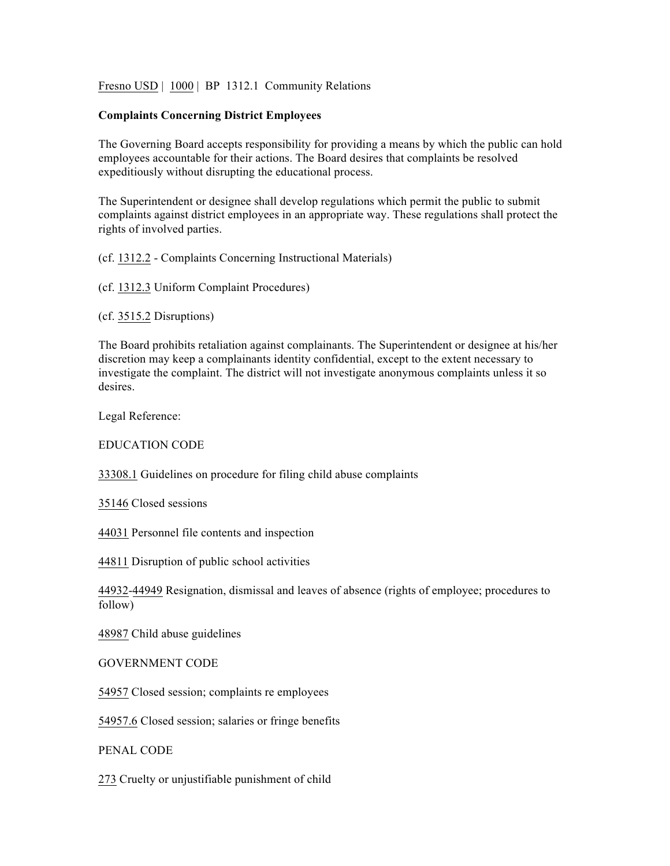Fresno USD | 1000 | BP 1312.1 Community Relations

## **Complaints Concerning District Employees**

The Governing Board accepts responsibility for providing a means by which the public can hold employees accountable for their actions. The Board desires that complaints be resolved expeditiously without disrupting the educational process.

The Superintendent or designee shall develop regulations which permit the public to submit complaints against district employees in an appropriate way. These regulations shall protect the rights of involved parties.

(cf. 1312.2 - Complaints Concerning Instructional Materials)

(cf. 1312.3 Uniform Complaint Procedures)

(cf. 3515.2 Disruptions)

The Board prohibits retaliation against complainants. The Superintendent or designee at his/her discretion may keep a complainants identity confidential, except to the extent necessary to investigate the complaint. The district will not investigate anonymous complaints unless it so desires.

Legal Reference:

EDUCATION CODE

33308.1 Guidelines on procedure for filing child abuse complaints

35146 Closed sessions

44031 Personnel file contents and inspection

44811 Disruption of public school activities

44932-44949 Resignation, dismissal and leaves of absence (rights of employee; procedures to follow)

48987 Child abuse guidelines

GOVERNMENT CODE

54957 Closed session; complaints re employees

54957.6 Closed session; salaries or fringe benefits

PENAL CODE

273 Cruelty or unjustifiable punishment of child